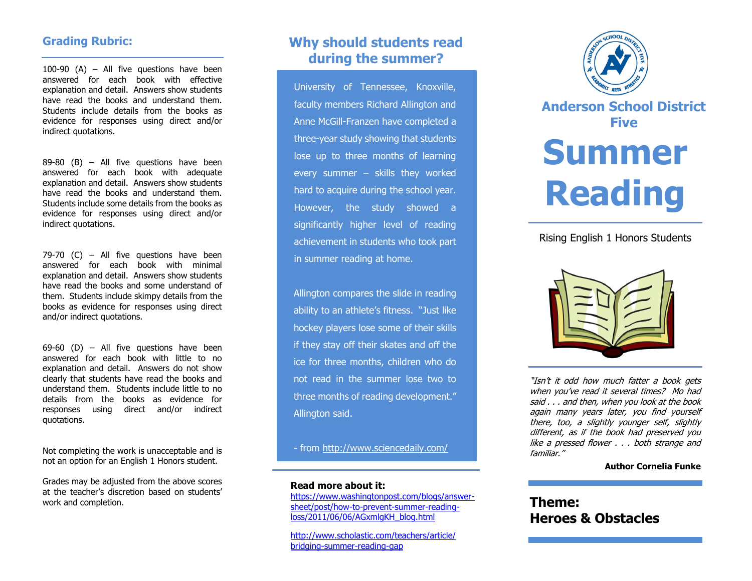## **Grading Rubric:**

100-90 (A) – All five questions have been answered for each book with effective explanation and detail. Answers show students have read the books and understand them. Students include details from the books as evidence for responses using direct and/or indirect quotations.

 $89-80$  (B) – All five questions have been answered for each book with adequate explanation and detail. Answers show students have read the books and understand them. Students include some details from the books as evidence for responses using direct and/or indirect quotations.

79-70 (C) – All five questions have been answered for each book with minimal explanation and detail. Answers show students have read the books and some understand of them. Students include skimpy details from the books as evidence for responses using direct and/or indirect quotations.

 $69-60$  (D) – All five questions have been answered for each book with little to no explanation and detail. Answers do not show clearly that students have read the books and understand them. Students include little to no details from the books as evidence for responses using direct and/or indirect quotations.

Not completing the work is unacceptable and is not an option for an English 1 Honors student.

Grades may be adjusted from the above scores at the teacher's discretion based on students' work and completion.

# **Why should students read during the summer?**

University of Tennessee, Knoxville, faculty members Richard Allington and Anne McGill-Franzen have completed a three-year study showing that students lose up to three months of learning every summer - skills they worked hard to acquire during the school year. However, the study showed a significantly higher level of reading achievement in students who took part in summer reading at home.

Allington compares the slide in reading ability to an athlete's fitness. "Just like hockey players lose some of their skills if they stay off their skates and off the ice for three months, children who do not read in the summer lose two to three months of reading development." Allington said.

- from<http://www.sciencedaily.com/>

#### **Read more about it:**

[https://www.washingtonpost.com/blogs/answer](https://www.washingtonpost.com/blogs/answer-sheet/post/how-to-prevent-summer-reading-loss/2011/06/06/AGxmlgKH_blog.html)[sheet/post/how-to-prevent-summer-reading](https://www.washingtonpost.com/blogs/answer-sheet/post/how-to-prevent-summer-reading-loss/2011/06/06/AGxmlgKH_blog.html)[loss/2011/06/06/AGxmlgKH\\_blog.html](https://www.washingtonpost.com/blogs/answer-sheet/post/how-to-prevent-summer-reading-loss/2011/06/06/AGxmlgKH_blog.html)

[http://www.scholastic.com/teachers/article/](http://www.scholastic.com/teachers/article/%20bridging-summer-reading-gap)  [bridging-summer-reading-gap](http://www.scholastic.com/teachers/article/%20bridging-summer-reading-gap)



**Anderson School District Five**

# **Summer Reading**

## Rising English 1 Honors Students



"Isn't it odd how much fatter a book gets when you've read it several times? Mo had said . . . and then, when you look at the book again many years later, you find yourself there, too, a slightly younger self, slightly different, as if the book had preserved you like a pressed flower . . . both strange and familiar."

#### **Author Cornelia Funke**

# **Theme: Heroes & Obstacles**